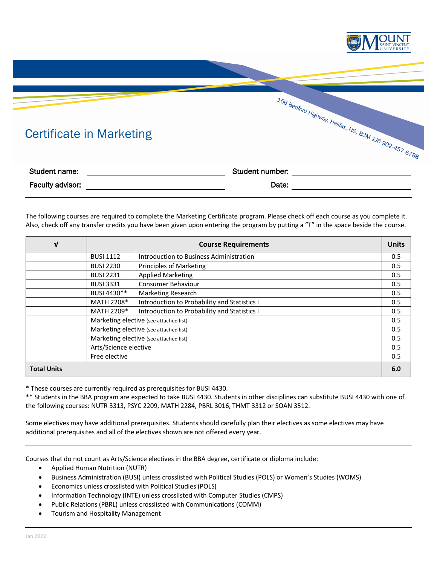



Faculty advisor: Date: Date: Date: Date: Date: Date: Date: Date: Date: Date: Date: Date: Date: Date: Date: Date: Date: Date: Date: Date: Date: Date: Date: Date: Date: Date: Date: Date: Date: Date: Date: Date: Date: Date: D

The following courses are required to complete the Marketing Certificate program. Please check off each course as you complete it. Also, check off any transfer credits you have been given upon entering the program by putting a "T" in the space beside the course.

| V                  | <b>Course Requirements</b>             |                                              | <b>Units</b> |
|--------------------|----------------------------------------|----------------------------------------------|--------------|
|                    | <b>BUSI 1112</b>                       | Introduction to Business Administration      | 0.5          |
|                    | <b>BUSI 2230</b>                       | <b>Principles of Marketing</b>               | 0.5          |
|                    | <b>BUSI 2231</b>                       | <b>Applied Marketing</b>                     | 0.5          |
|                    | <b>BUSI 3331</b>                       | <b>Consumer Behaviour</b>                    | 0.5          |
|                    | BUSI 4430**                            | <b>Marketing Research</b>                    | 0.5          |
|                    | MATH 2208*                             | Introduction to Probability and Statistics I | 0.5          |
|                    | MATH 2209*                             | Introduction to Probability and Statistics I | 0.5          |
|                    | Marketing elective (see attached list) |                                              | 0.5          |
|                    | Marketing elective (see attached list) |                                              | 0.5          |
|                    | Marketing elective (see attached list) |                                              | 0.5          |
|                    | Arts/Science elective                  |                                              | 0.5          |
|                    | Free elective                          |                                              | 0.5          |
| <b>Total Units</b> |                                        |                                              | 6.0          |

\* These courses are currently required as prerequisites for BUSI 4430.

\*\* Students in the BBA program are expected to take BUSI 4430. Students in other disciplines can substitute BUSI 4430 with one of the following courses: NUTR 3313, PSYC 2209, MATH 2284, PBRL 3016, THMT 3312 or SOAN 3512.

Some electives may have additional prerequisites. Students should carefully plan their electives as some electives may have additional prerequisites and all of the electives shown are not offered every year.

Courses that do not count as Arts/Science electives in the BBA degree, certificate or diploma include:

- Applied Human Nutrition (NUTR)
- Business Administration (BUSI) unless crosslisted with Political Studies (POLS) or Women's Studies (WOMS)
- Economics unless crosslisted with Political Studies (POLS)
- Information Technology (INTE) unless crosslisted with Computer Studies (CMPS)
- Public Relations (PBRL) unless crosslisted with Communications (COMM)
- Tourism and Hospitality Management